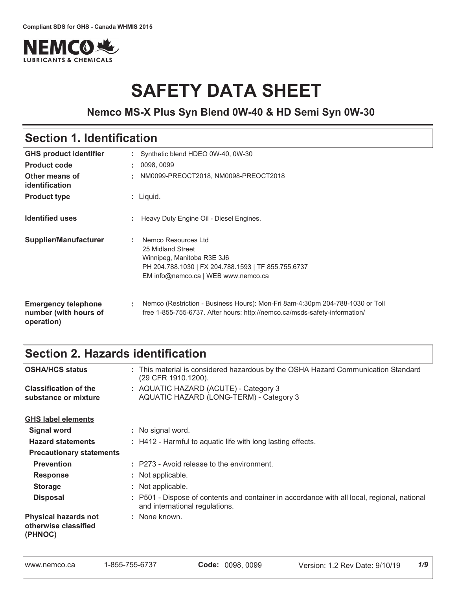

# **SAFETY DATA SHEET**

### **Nemco MS-X Plus Syn Blend 0W-40 & HD Semi Syn 0W-30**

# Section 1. Identification

| <b>GHS product identifier</b>                                     |    | : Synthetic blend HDEO 0W-40, 0W-30                                                                                                                                  |
|-------------------------------------------------------------------|----|----------------------------------------------------------------------------------------------------------------------------------------------------------------------|
| <b>Product code</b>                                               | ÷. | 0098, 0099                                                                                                                                                           |
| Other means of<br>identification                                  | ÷. | NM0099-PREOCT2018, NM0098-PREOCT2018                                                                                                                                 |
| <b>Product type</b>                                               |    | : Liquid.                                                                                                                                                            |
| <b>Identified uses</b>                                            | ÷. | Heavy Duty Engine Oil - Diesel Engines.                                                                                                                              |
| Supplier/Manufacturer                                             |    | Nemco Resources Ltd<br>25 Midland Street<br>Winnipeg, Manitoba R3E 3J6<br>PH 204.788.1030   FX 204.788.1593   TF 855.755.6737<br>EM info@nemco.ca   WEB www.nemco.ca |
| <b>Emergency telephone</b><br>number (with hours of<br>operation) | ÷. | Nemco (Restriction - Business Hours): Mon-Fri 8am-4:30pm 204-788-1030 or Toll<br>free 1-855-755-6737. After hours: http://nemco.ca/msds-safety-information/          |

# Section 2. Hazards identification

| <b>OSHA/HCS status</b>                                         | : This material is considered hazardous by the OSHA Hazard Communication Standard<br>(29 CFR 1910.1200).                      |
|----------------------------------------------------------------|-------------------------------------------------------------------------------------------------------------------------------|
| <b>Classification of the</b><br>substance or mixture           | : AQUATIC HAZARD (ACUTE) - Category 3<br>AQUATIC HAZARD (LONG-TERM) - Category 3                                              |
| <b>GHS label elements</b>                                      |                                                                                                                               |
| <b>Signal word</b>                                             | : No signal word.                                                                                                             |
| <b>Hazard statements</b>                                       | : H412 - Harmful to aquatic life with long lasting effects.                                                                   |
| <b>Precautionary statements</b>                                |                                                                                                                               |
| <b>Prevention</b>                                              | : P273 - Avoid release to the environment.                                                                                    |
| <b>Response</b>                                                | : Not applicable.                                                                                                             |
| <b>Storage</b>                                                 | : Not applicable.                                                                                                             |
| <b>Disposal</b>                                                | : P501 - Dispose of contents and container in accordance with all local, regional, national<br>and international regulations. |
| <b>Physical hazards not</b><br>otherwise classified<br>(PHNOC) | : None known.                                                                                                                 |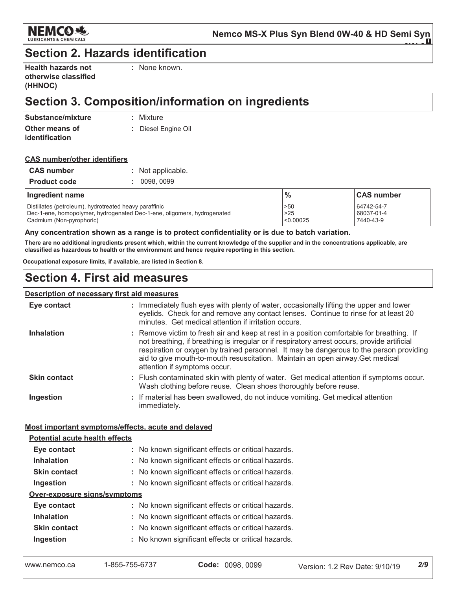

# **Section 2. Hazards identification**

| <b>Health hazards not</b> |  |
|---------------------------|--|
| otherwise classified      |  |
| (HHNOC)                   |  |

: None known.

# Section 3. Composition/information on ingredients

| Substance/mixture | : Mixture           |
|-------------------|---------------------|
| Other means of    | : Diesel Engine Oil |
| identification    |                     |

#### **CAS number/other identifiers**

| <b>CAS number</b>   | : Not applicable. |
|---------------------|-------------------|
| <b>Product code</b> | : 0098,0099       |

| Ingredient name                                                         | $\frac{1}{2}$ | <b>CAS number</b> |
|-------------------------------------------------------------------------|---------------|-------------------|
| Distillates (petroleum), hydrotreated heavy paraffinic                  | >50           | 64742-54-7        |
| Dec-1-ene, homopolymer, hydrogenated Dec-1-ene, oligomers, hydrogenated | >25           | 68037-01-4        |
| Cadmium (Non-pyrophoric)                                                | < 0.00025     | 7440-43-9         |

#### Any concentration shown as a range is to protect confidentiality or is due to batch variation.

There are no additional ingredients present which, within the current knowledge of the supplier and in the concentrations applicable, are classified as hazardous to health or the environment and hence require reporting in this section.

Occupational exposure limits, if available, are listed in Section 8.

### **Section 4. First aid measures**

#### Description of necessary first aid measures

| Eye contact                                                                          | : Immediately flush eyes with plenty of water, occasionally lifting the upper and lower<br>eyelids. Check for and remove any contact lenses. Continue to rinse for at least 20<br>minutes. Get medical attention if irritation occurs.                                                                                                                                                                 |  |
|--------------------------------------------------------------------------------------|--------------------------------------------------------------------------------------------------------------------------------------------------------------------------------------------------------------------------------------------------------------------------------------------------------------------------------------------------------------------------------------------------------|--|
| <b>Inhalation</b>                                                                    | : Remove victim to fresh air and keep at rest in a position comfortable for breathing. If<br>not breathing, if breathing is irregular or if respiratory arrest occurs, provide artificial<br>respiration or oxygen by trained personnel. It may be dangerous to the person providing<br>aid to give mouth-to-mouth resuscitation. Maintain an open airway. Get medical<br>attention if symptoms occur. |  |
| <b>Skin contact</b>                                                                  | : Flush contaminated skin with plenty of water. Get medical attention if symptoms occur.<br>Wash clothing before reuse. Clean shoes thoroughly before reuse.                                                                                                                                                                                                                                           |  |
| Ingestion                                                                            | : If material has been swallowed, do not induce vomiting. Get medical attention<br>immediately.                                                                                                                                                                                                                                                                                                        |  |
| Most important symptoms/effects, acute and delayed<br>Dotantial acute health effects |                                                                                                                                                                                                                                                                                                                                                                                                        |  |

| I Olontial acute Health chects |                                                     |  |  |
|--------------------------------|-----------------------------------------------------|--|--|
| Eye contact                    | : No known significant effects or critical hazards. |  |  |
| <b>Inhalation</b>              | : No known significant effects or critical hazards. |  |  |
| <b>Skin contact</b>            | : No known significant effects or critical hazards. |  |  |
| Ingestion                      | : No known significant effects or critical hazards. |  |  |
| Over-exposure signs/symptoms   |                                                     |  |  |
| Eye contact                    | : No known significant effects or critical hazards. |  |  |
| <b>Inhalation</b>              | : No known significant effects or critical hazards. |  |  |
| <b>Skin contact</b>            | : No known significant effects or critical hazards. |  |  |
| Ingestion                      | : No known significant effects or critical hazards. |  |  |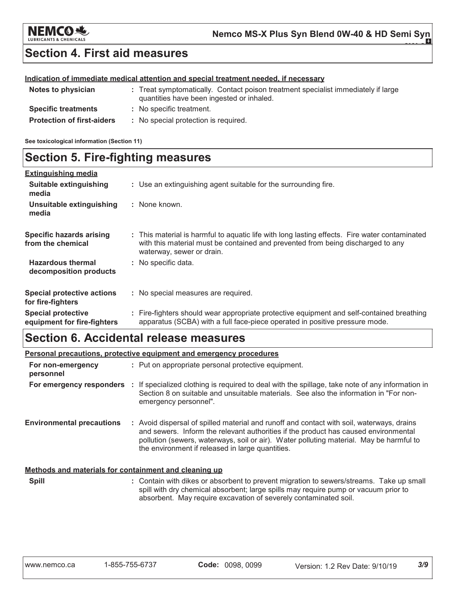

### **Section 4. First aid measures**

#### Indication of immediate medical attention and special treatment needed, if necessary

| Notes to physician                | : Treat symptomatically. Contact poison treatment specialist immediately if large<br>quantities have been ingested or inhaled. |
|-----------------------------------|--------------------------------------------------------------------------------------------------------------------------------|
| <b>Specific treatments</b>        | : No specific treatment.                                                                                                       |
| <b>Protection of first-aiders</b> | : No special protection is required.                                                                                           |

See toxicological information (Section 11)

## **Section 5. Fire-fighting measures**

| <b>Extinguishing media</b>                               |                                                                                                                                                                                                               |
|----------------------------------------------------------|---------------------------------------------------------------------------------------------------------------------------------------------------------------------------------------------------------------|
| Suitable extinguishing<br>media                          | : Use an extinguishing agent suitable for the surrounding fire.                                                                                                                                               |
| Unsuitable extinguishing<br>media                        | : None known.                                                                                                                                                                                                 |
| <b>Specific hazards arising</b><br>from the chemical     | : This material is harmful to aquatic life with long lasting effects. Fire water contaminated<br>with this material must be contained and prevented from being discharged to any<br>waterway, sewer or drain. |
| <b>Hazardous thermal</b><br>decomposition products       | : No specific data.                                                                                                                                                                                           |
| <b>Special protective actions</b><br>for fire-fighters   | : No special measures are required.                                                                                                                                                                           |
| <b>Special protective</b><br>equipment for fire-fighters | : Fire-fighters should wear appropriate protective equipment and self-contained breathing<br>apparatus (SCBA) with a full face-piece operated in positive pressure mode.                                      |

### **Section 6. Accidental release measures**

|                                                       | <b>Personal precautions, protective equipment and emergency procedures</b>                                                                                                                                                                                                                                                      |
|-------------------------------------------------------|---------------------------------------------------------------------------------------------------------------------------------------------------------------------------------------------------------------------------------------------------------------------------------------------------------------------------------|
| For non-emergency<br>personnel                        | : Put on appropriate personal protective equipment.                                                                                                                                                                                                                                                                             |
| For emergency responders                              | : If specialized clothing is required to deal with the spillage, take note of any information in<br>Section 8 on suitable and unsuitable materials. See also the information in "For non-<br>emergency personnel".                                                                                                              |
| <b>Environmental precautions</b>                      | : Avoid dispersal of spilled material and runoff and contact with soil, waterways, drains<br>and sewers. Inform the relevant authorities if the product has caused environmental<br>pollution (sewers, waterways, soil or air). Water polluting material. May be harmful to<br>the environment if released in large quantities. |
| Methods and materials for containment and cleaning up |                                                                                                                                                                                                                                                                                                                                 |
| Snill                                                 | . Contain with dikes or absorbent to prevent migration to sewers/streams. Take up small                                                                                                                                                                                                                                         |

spill with dry chemical absorbent; large spills may require pump or vacuum prior to absorbent. May require excavation of severely contaminated soil.

 $3/9$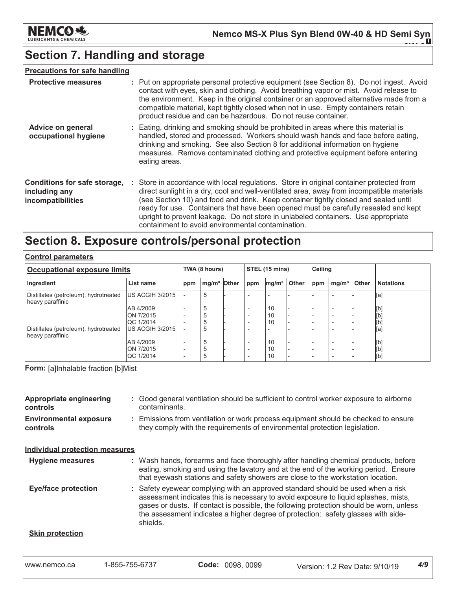

# **Section 7. Handling and storage**

#### **Precautions for safe handling**

| <b>Protective measures</b>                                         | : Put on appropriate personal protective equipment (see Section 8). Do not ingest. Avoid<br>contact with eyes, skin and clothing. Avoid breathing vapor or mist. Avoid release to<br>the environment. Keep in the original container or an approved alternative made from a<br>compatible material, kept tightly closed when not in use. Empty containers retain<br>product residue and can be hazardous. Do not reuse container.                                                                             |
|--------------------------------------------------------------------|---------------------------------------------------------------------------------------------------------------------------------------------------------------------------------------------------------------------------------------------------------------------------------------------------------------------------------------------------------------------------------------------------------------------------------------------------------------------------------------------------------------|
| Advice on general<br>occupational hygiene                          | : Eating, drinking and smoking should be prohibited in areas where this material is<br>handled, stored and processed. Workers should wash hands and face before eating,<br>drinking and smoking. See also Section 8 for additional information on hygiene<br>measures. Remove contaminated clothing and protective equipment before entering<br>eating areas.                                                                                                                                                 |
| Conditions for safe storage,<br>including any<br>incompatibilities | : Store in accordance with local regulations. Store in original container protected from<br>direct sunlight in a dry, cool and well-ventilated area, away from incompatible materials<br>(see Section 10) and food and drink. Keep container tightly closed and sealed until<br>ready for use. Containers that have been opened must be carefully resealed and kept<br>upright to prevent leakage. Do not store in unlabeled containers. Use appropriate<br>containment to avoid environmental contamination. |

### Section 8. Exposure controls/personal protection

| <b>Control parameters</b> |
|---------------------------|
|                           |

| <b>Occupational exposure limits</b>                       |                               |     | TWA (8 hours)           |  | STEL (15 mins)                                       |                   |       | <b>Ceiling</b> |                   |              |                  |
|-----------------------------------------------------------|-------------------------------|-----|-------------------------|--|------------------------------------------------------|-------------------|-------|----------------|-------------------|--------------|------------------|
| Ingredient                                                | List name                     | ppm | mg/m <sup>3</sup> Other |  | ppm                                                  | mg/m <sup>3</sup> | Other | ppm            | mg/m <sup>3</sup> | <b>Other</b> | <b>Notations</b> |
| Distillates (petroleum), hydrotreated<br>heavy paraffinic | <b>US ACGIH 3/2015</b>        |     | 5                       |  |                                                      |                   |       |                |                   |              | [a]              |
|                                                           | AB 4/2009                     |     | 5                       |  | $\overline{\phantom{0}}$                             | 10                |       |                |                   |              | [b]              |
|                                                           | ON 7/2015<br><b>QC 1/2014</b> |     | 5                       |  | $\overline{\phantom{0}}$                             | 10<br>10          |       |                |                   |              |                  |
| Distillates (petroleum), hydrotreated<br>heavy paraffinic | US ACGIH 3/2015               |     | 5                       |  |                                                      |                   |       |                |                   |              | [a]              |
|                                                           | AB 4/2009                     |     | 5                       |  | $\overline{\phantom{a}}$                             | 10                |       |                |                   |              | [b]              |
|                                                           | ON 7/2015<br><b>QC 1/2014</b> |     | h<br>b                  |  | $\overline{\phantom{a}}$<br>$\overline{\phantom{0}}$ | 10<br>10          |       |                |                   |              | [b]<br>[b]       |

Form: [a]Inhalable fraction [b]Mist

| Appropriate engineering<br><b>controls</b>       | : Good general ventilation should be sufficient to control worker exposure to airborne<br>contaminants.                                                          |
|--------------------------------------------------|------------------------------------------------------------------------------------------------------------------------------------------------------------------|
| <b>Environmental exposure</b><br><b>controls</b> | : Emissions from ventilation or work process equipment should be checked to ensure<br>they comply with the requirements of environmental protection legislation. |
| <b>Individual protection measures</b>            |                                                                                                                                                                  |

#### **Hygiene measures** : Wash hands, forearms and face thoroughly after handling chemical products, before eating, smoking and using the lavatory and at the end of the working period. Ensure that eyewash stations and safety showers are close to the workstation location. **Eye/face protection** : Safety eyewear complying with an approved standard should be used when a risk

assessment indicates this is necessary to avoid exposure to liquid splashes, mists, gases or dusts. If contact is possible, the following protection should be worn, unless the assessment indicates a higher degree of protection: safety glasses with sideshields.

#### **Skin protection**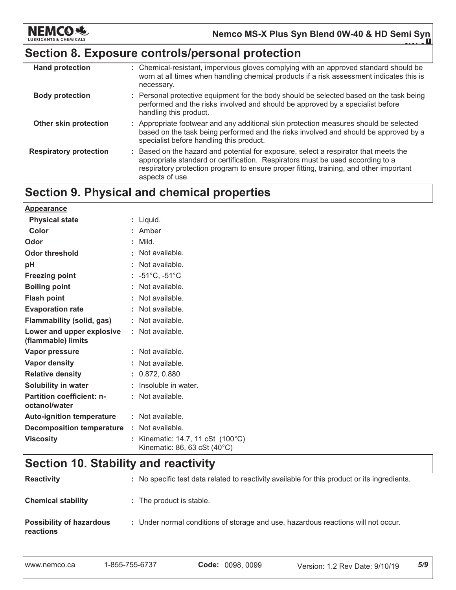

### Section 8. Exposure controls/personal protection

| <b>Hand protection</b>        | : Chemical-resistant, impervious gloves complying with an approved standard should be<br>worn at all times when handling chemical products if a risk assessment indicates this is<br>necessary.                                                                                     |
|-------------------------------|-------------------------------------------------------------------------------------------------------------------------------------------------------------------------------------------------------------------------------------------------------------------------------------|
| <b>Body protection</b>        | : Personal protective equipment for the body should be selected based on the task being<br>performed and the risks involved and should be approved by a specialist before<br>handling this product.                                                                                 |
| Other skin protection         | : Appropriate footwear and any additional skin protection measures should be selected<br>based on the task being performed and the risks involved and should be approved by a<br>specialist before handling this product.                                                           |
| <b>Respiratory protection</b> | : Based on the hazard and potential for exposure, select a respirator that meets the<br>appropriate standard or certification. Respirators must be used according to a<br>respiratory protection program to ensure proper fitting, training, and other important<br>aspects of use. |

# Section 9. Physical and chemical properties

| <b>Appearance</b>                                 |                                                                   |
|---------------------------------------------------|-------------------------------------------------------------------|
| <b>Physical state</b>                             | : Liquid.                                                         |
| Color                                             | : Amber                                                           |
| Odor                                              | $:$ Mild.                                                         |
| <b>Odor threshold</b>                             | : Not available.                                                  |
| рH                                                | : Not available.                                                  |
| <b>Freezing point</b>                             | : $-51^{\circ}$ C, $-51^{\circ}$ C                                |
| <b>Boiling point</b>                              | : Not available.                                                  |
| <b>Flash point</b>                                | : Not available.                                                  |
| <b>Evaporation rate</b>                           | : Not available.                                                  |
| <b>Flammability (solid, gas)</b>                  | : Not available.                                                  |
| Lower and upper explosive<br>(flammable) limits   | : Not available.                                                  |
| Vapor pressure                                    | $:$ Not available.                                                |
| Vapor density                                     | : Not available.                                                  |
| <b>Relative density</b>                           | : 0.872, 0.880                                                    |
| Solubility in water                               | : Insoluble in water.                                             |
| <b>Partition coefficient: n-</b><br>octanol/water | : Not available.                                                  |
| <b>Auto-ignition temperature</b>                  | : Not available.                                                  |
| <b>Decomposition temperature</b>                  | : Not available.                                                  |
| <b>Viscosity</b>                                  | : Kinematic: 14.7, 11 cSt (100°C)<br>Kinematic: 86, 63 cSt (40°C) |

# Section 10. Stability and reactivity

| <b>Reactivity</b>                            | : No specific test data related to reactivity available for this product or its ingredients. |
|----------------------------------------------|----------------------------------------------------------------------------------------------|
| <b>Chemical stability</b>                    | : The product is stable.                                                                     |
| <b>Possibility of hazardous</b><br>reactions | : Under normal conditions of storage and use, hazardous reactions will not occur.            |

|  | l www.nemco.ca | 1-855-755-6737 | Code: 0098, 0099 | Version: 1.2 Rev Date: 9/10/19 | 5/9 |
|--|----------------|----------------|------------------|--------------------------------|-----|
|--|----------------|----------------|------------------|--------------------------------|-----|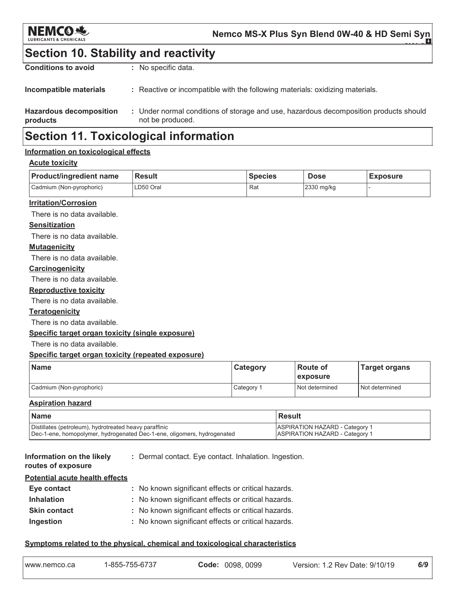

Nemco MS-X Plus Syn Blend 0W-40 & HD Semi Syn

### **Section 10. Stability and reactivity**

| <b>Hazardous decomposition</b><br>products | : Under normal conditions of storage and use, hazardous decomposition products should<br>not be produced. |
|--------------------------------------------|-----------------------------------------------------------------------------------------------------------|
| Incompatible materials                     | : Reactive or incompatible with the following materials: oxidizing materials.                             |
| <b>Conditions to avoid</b>                 | : No specific data.                                                                                       |

# **Section 11. Toxicological information**

#### Information on toxicological effects

#### **Acute toxicity**

| <b>Product/ingredient name</b> | <b>Result</b> | <b>Species</b> | <b>Dose</b> | <b>Exposure</b> |
|--------------------------------|---------------|----------------|-------------|-----------------|
| Cadmium (Non-pyrophoric)       | LD50 Oral     | Rat            | 2330 mg/kg  |                 |

#### **Irritation/Corrosion**

There is no data available.

#### **Sensitization**

There is no data available.

#### **Mutagenicity**

There is no data available.

#### Carcinogenicity

There is no data available.

#### **Reproductive toxicity**

There is no data available.

#### **Teratogenicity**

There is no data available.

#### Specific target organ toxicity (single exposure)

There is no data available.

#### Specific target organ toxicity (repeated exposure)

| Name                     | Category   | <b>Route of</b><br><b>Lexposure</b> | <b>Target organs</b> |
|--------------------------|------------|-------------------------------------|----------------------|
| Cadmium (Non-pyrophoric) | Category 1 | Not determined                      | Not determined       |

#### **Aspiration hazard**

| l Name                                                                  | l Result                              |
|-------------------------------------------------------------------------|---------------------------------------|
| Distillates (petroleum), hydrotreated heavy paraffinic                  | <b>ASPIRATION HAZARD - Category 1</b> |
| Dec-1-ene, homopolymer, hydrogenated Dec-1-ene, oligomers, hydrogenated | <b>ASPIRATION HAZARD - Category 1</b> |

Information on the likely routes of exposure

: Dermal contact. Eye contact. Inhalation. Ingestion.

| Potential acute health effects |                                                     |
|--------------------------------|-----------------------------------------------------|
| Eye contact                    | : No known significant effects or critical hazards. |
| <b>Inhalation</b>              | : No known significant effects or critical hazards. |
| <b>Skin contact</b>            | : No known significant effects or critical hazards. |
| Ingestion                      | : No known significant effects or critical hazards. |

#### Symptoms related to the physical, chemical and toxicological characteristics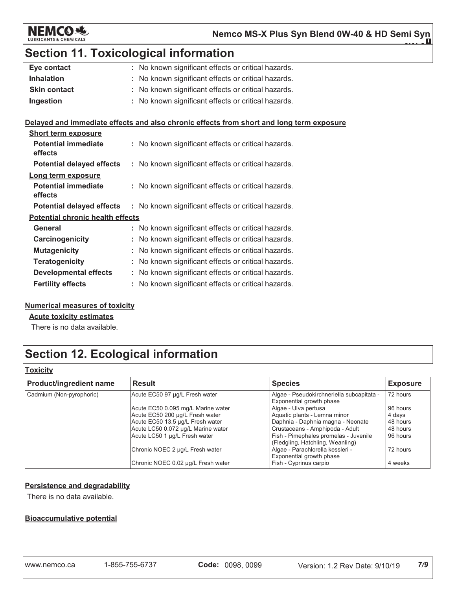

**0W-30**

# Section 11. Toxicological information

| Eye contact         | : No known significant effects or critical hazards. |
|---------------------|-----------------------------------------------------|
| <b>Inhalation</b>   | : No known significant effects or critical hazards. |
| <b>Skin contact</b> | : No known significant effects or critical hazards. |
| Ingestion           | : No known significant effects or critical hazards. |
|                     |                                                     |

#### <u>**Delayed and immediate effects and also chronic effects from short and long term exposure</u></u>**

| <b>Short term exposure</b>              |  |                                                     |
|-----------------------------------------|--|-----------------------------------------------------|
| <b>Potential immediate</b><br>effects   |  | : No known significant effects or critical hazards. |
| <b>Potential delayed effects</b>        |  | : No known significant effects or critical hazards. |
| Long term exposure                      |  |                                                     |
| Potential immediate<br>effects          |  | : No known significant effects or critical hazards. |
| <b>Potential delayed effects</b>        |  | : No known significant effects or critical hazards. |
| <b>Potential chronic health effects</b> |  |                                                     |
| General                                 |  | : No known significant effects or critical hazards. |
| Carcinogenicity                         |  | : No known significant effects or critical hazards. |
| <b>Mutagenicity</b>                     |  | : No known significant effects or critical hazards. |
| <b>Teratogenicity</b>                   |  | : No known significant effects or critical hazards. |
| <b>Developmental effects</b>            |  | : No known significant effects or critical hazards. |
| <b>Fertility effects</b>                |  | : No known significant effects or critical hazards. |

#### <u>Numerical measures of toxicity</u>

<u>Acute toxicity estimates</u>

There is no data available.

# Section 12. Ecological information

#### <u>Toxicity</u>

| <b>Product/ingredient name</b> | <b>Result</b>                      | <b>Species</b>                                                            | <b>Exposure</b> |
|--------------------------------|------------------------------------|---------------------------------------------------------------------------|-----------------|
| Cadmium (Non-pyrophoric)       | Acute EC50 97 µg/L Fresh water     | Algae - Pseudokirchneriella subcapitata -<br>Exponential growth phase     | 72 hours        |
|                                | Acute EC50 0.095 mg/L Marine water | Algae - Ulva pertusa                                                      | 96 hours        |
|                                | Acute EC50 200 µg/L Fresh water    | Aquatic plants - Lemna minor                                              | 4 days          |
|                                | Acute EC50 13.5 µg/L Fresh water   | Daphnia - Daphnia magna - Neonate                                         | 48 hours        |
|                                | Acute LC50 0.072 µg/L Marine water | Crustaceans - Amphipoda - Adult                                           | 48 hours        |
|                                | Acute LC50 1 µg/L Fresh water      | Fish - Pimephales promelas - Juvenile<br>(Fledgling, Hatchling, Weanling) | 96 hours        |
|                                | Chronic NOEC 2 µg/L Fresh water    | Algae - Parachlorella kessleri -<br>Exponential growth phase              | 72 hours        |
|                                | Chronic NOEC 0.02 µg/L Fresh water | Fish - Cyprinus carpio                                                    | 4 weeks         |

#### <u>Persistence and degradability</u>

There is no data available.

#### <u>Bioaccumulative potential</u>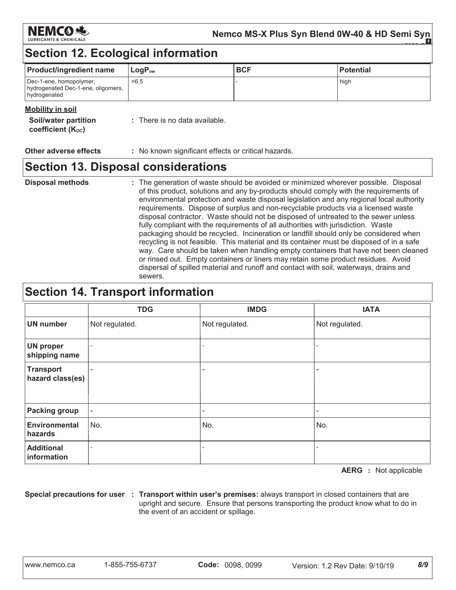

# **Section 12. Ecological information**

| <b>Product/ingredient name</b>                                                | $LogP_{ow}$ | <b>BCF</b> | <b>Potential</b> |
|-------------------------------------------------------------------------------|-------------|------------|------------------|
| Dec-1-ene, homopolymer,<br>hydrogenated Dec-1-ene, oligomers,<br>hydrogenated | >6.5        |            | high             |

#### **Mobility in soil**

| Soil/water partition<br><b>coefficient (Koc)</b> | : There is no data available. |
|--------------------------------------------------|-------------------------------|
|                                                  |                               |

**Other adverse effects** : No known significant effects or critical hazards.

### **Section 13. Disposal considerations**

**Disposal methods** : The generation of waste should be avoided or minimized wherever possible. Disposal of this product, solutions and any by-products should comply with the requirements of environmental protection and waste disposal legislation and any regional local authority requirements. Dispose of surplus and non-recyclable products via a licensed waste disposal contractor. Waste should not be disposed of untreated to the sewer unless fully compliant with the requirements of all authorities with jurisdiction. Waste packaging should be recycled. Incineration or landfill should only be considered when recycling is not feasible. This material and its container must be disposed of in a safe way. Care should be taken when handling empty containers that have not been cleaned or rinsed out. Empty containers or liners may retain some product residues. Avoid dispersal of spilled material and runoff and contact with soil, waterways, drains and sewers.

### **Section 14. Transport information**

|                                      | <b>TDG</b>               | <b>IMDG</b>    | <b>IATA</b>    |
|--------------------------------------|--------------------------|----------------|----------------|
| <b>UN number</b>                     | Not regulated.           | Not regulated. | Not regulated. |
| <b>UN proper</b><br>shipping name    | $\overline{\phantom{a}}$ |                |                |
| <b>Transport</b><br>hazard class(es) | $\overline{\phantom{m}}$ | -              | ۰              |
| <b>Packing group</b>                 | $\overline{\phantom{a}}$ |                | -              |
| <b>Environmental</b><br>hazards      | No.                      | No.            | No.            |
| <b>Additional</b><br>information     |                          |                |                |

**AERG** : Not applicable

 $8/9$ 

Special precautions for user : Transport within user's premises: always transport in closed containers that are upright and secure. Ensure that persons transporting the product know what to do in the event of an accident or spillage.